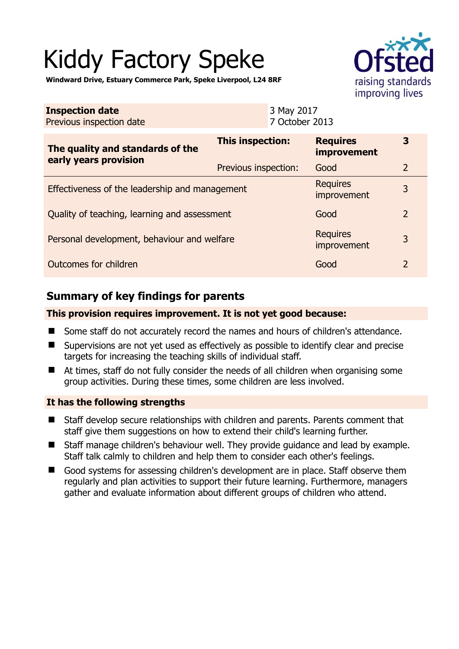# Kiddy Factory Speke



**Windward Drive, Estuary Commerce Park, Speke Liverpool, L24 8RF** 

| <b>Inspection date</b><br>Previous inspection date        |                         | 3 May 2017<br>7 October 2013 |                                       |                |
|-----------------------------------------------------------|-------------------------|------------------------------|---------------------------------------|----------------|
| The quality and standards of the<br>early years provision | <b>This inspection:</b> |                              | <b>Requires</b><br><i>improvement</i> | 3              |
|                                                           | Previous inspection:    |                              | Good                                  | $\overline{2}$ |
| Effectiveness of the leadership and management            |                         |                              | <b>Requires</b><br>improvement        | 3              |
| Quality of teaching, learning and assessment              |                         |                              | Good                                  | $\overline{2}$ |
| Personal development, behaviour and welfare               |                         |                              | <b>Requires</b><br>improvement        | 3              |
| Outcomes for children                                     |                         |                              | Good                                  | $\overline{2}$ |

# **Summary of key findings for parents**

### **This provision requires improvement. It is not yet good because:**

- Some staff do not accurately record the names and hours of children's attendance.
- Supervisions are not yet used as effectively as possible to identify clear and precise targets for increasing the teaching skills of individual staff.
- At times, staff do not fully consider the needs of all children when organising some group activities. During these times, some children are less involved.

## **It has the following strengths**

- Staff develop secure relationships with children and parents. Parents comment that staff give them suggestions on how to extend their child's learning further.
- Staff manage children's behaviour well. They provide guidance and lead by example. Staff talk calmly to children and help them to consider each other's feelings.
- Good systems for assessing children's development are in place. Staff observe them regularly and plan activities to support their future learning. Furthermore, managers gather and evaluate information about different groups of children who attend.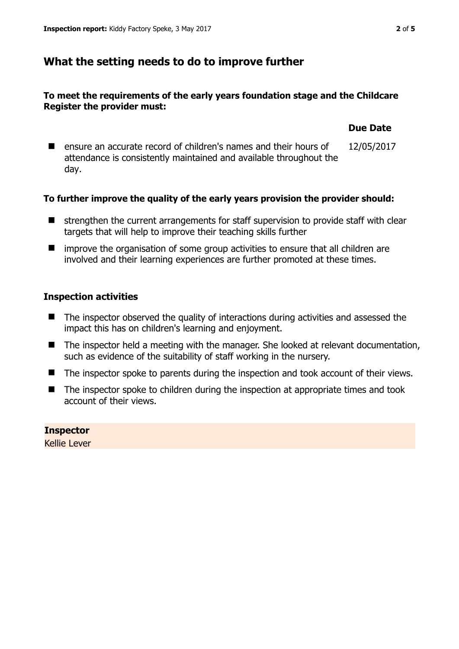## **What the setting needs to do to improve further**

#### **To meet the requirements of the early years foundation stage and the Childcare Register the provider must:**

| ■ ensure an accurate record of children's names and their hours of<br>attendance is consistently maintained and available throughout the | 12/05/2017 |
|------------------------------------------------------------------------------------------------------------------------------------------|------------|
| day.                                                                                                                                     |            |

#### **To further improve the quality of the early years provision the provider should:**

- **If** strengthen the current arrangements for staff supervision to provide staff with clear targets that will help to improve their teaching skills further
- improve the organisation of some group activities to ensure that all children are involved and their learning experiences are further promoted at these times.

#### **Inspection activities**

- The inspector observed the quality of interactions during activities and assessed the impact this has on children's learning and enjoyment.
- The inspector held a meeting with the manager. She looked at relevant documentation, such as evidence of the suitability of staff working in the nursery.
- The inspector spoke to parents during the inspection and took account of their views.
- The inspector spoke to children during the inspection at appropriate times and took account of their views.

**Inspector**  Kellie Lever **Due Date**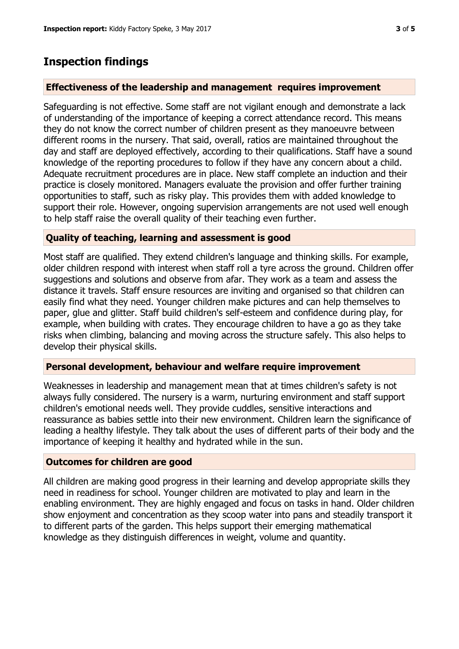# **Inspection findings**

#### **Effectiveness of the leadership and management requires improvement**

Safeguarding is not effective. Some staff are not vigilant enough and demonstrate a lack of understanding of the importance of keeping a correct attendance record. This means they do not know the correct number of children present as they manoeuvre between different rooms in the nursery. That said, overall, ratios are maintained throughout the day and staff are deployed effectively, according to their qualifications. Staff have a sound knowledge of the reporting procedures to follow if they have any concern about a child. Adequate recruitment procedures are in place. New staff complete an induction and their practice is closely monitored. Managers evaluate the provision and offer further training opportunities to staff, such as risky play. This provides them with added knowledge to support their role. However, ongoing supervision arrangements are not used well enough to help staff raise the overall quality of their teaching even further.

#### **Quality of teaching, learning and assessment is good**

Most staff are qualified. They extend children's language and thinking skills. For example, older children respond with interest when staff roll a tyre across the ground. Children offer suggestions and solutions and observe from afar. They work as a team and assess the distance it travels. Staff ensure resources are inviting and organised so that children can easily find what they need. Younger children make pictures and can help themselves to paper, glue and glitter. Staff build children's self-esteem and confidence during play, for example, when building with crates. They encourage children to have a go as they take risks when climbing, balancing and moving across the structure safely. This also helps to develop their physical skills.

#### **Personal development, behaviour and welfare require improvement**

Weaknesses in leadership and management mean that at times children's safety is not always fully considered. The nursery is a warm, nurturing environment and staff support children's emotional needs well. They provide cuddles, sensitive interactions and reassurance as babies settle into their new environment. Children learn the significance of leading a healthy lifestyle. They talk about the uses of different parts of their body and the importance of keeping it healthy and hydrated while in the sun.

## **Outcomes for children are good**

All children are making good progress in their learning and develop appropriate skills they need in readiness for school. Younger children are motivated to play and learn in the enabling environment. They are highly engaged and focus on tasks in hand. Older children show enjoyment and concentration as they scoop water into pans and steadily transport it to different parts of the garden. This helps support their emerging mathematical knowledge as they distinguish differences in weight, volume and quantity.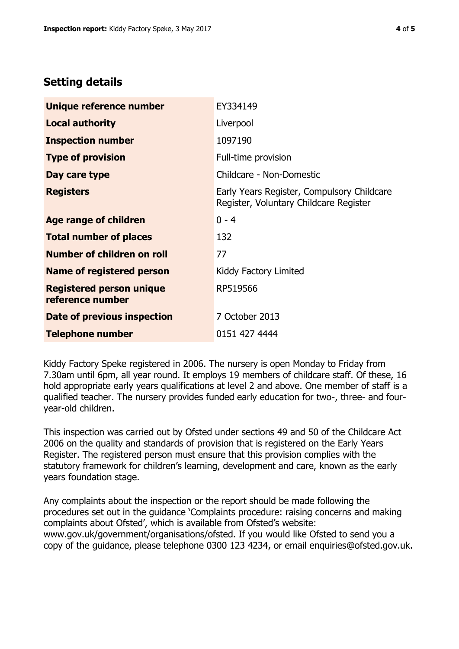## **Setting details**

| Unique reference number                             | EY334149                                                                             |
|-----------------------------------------------------|--------------------------------------------------------------------------------------|
| <b>Local authority</b>                              | Liverpool                                                                            |
| <b>Inspection number</b>                            | 1097190                                                                              |
| <b>Type of provision</b>                            | Full-time provision                                                                  |
| Day care type                                       | Childcare - Non-Domestic                                                             |
| <b>Registers</b>                                    | Early Years Register, Compulsory Childcare<br>Register, Voluntary Childcare Register |
| Age range of children                               | $0 - 4$                                                                              |
| <b>Total number of places</b>                       | 132                                                                                  |
| Number of children on roll                          | 77                                                                                   |
| Name of registered person                           | Kiddy Factory Limited                                                                |
| <b>Registered person unique</b><br>reference number | RP519566                                                                             |
| Date of previous inspection                         | 7 October 2013                                                                       |
| Telephone number                                    | 0151 427 4444                                                                        |

Kiddy Factory Speke registered in 2006. The nursery is open Monday to Friday from 7.30am until 6pm, all year round. It employs 19 members of childcare staff. Of these, 16 hold appropriate early years qualifications at level 2 and above. One member of staff is a qualified teacher. The nursery provides funded early education for two-, three- and fouryear-old children.

This inspection was carried out by Ofsted under sections 49 and 50 of the Childcare Act 2006 on the quality and standards of provision that is registered on the Early Years Register. The registered person must ensure that this provision complies with the statutory framework for children's learning, development and care, known as the early years foundation stage.

Any complaints about the inspection or the report should be made following the procedures set out in the guidance 'Complaints procedure: raising concerns and making complaints about Ofsted', which is available from Ofsted's website: www.gov.uk/government/organisations/ofsted. If you would like Ofsted to send you a copy of the guidance, please telephone 0300 123 4234, or email enquiries@ofsted.gov.uk.